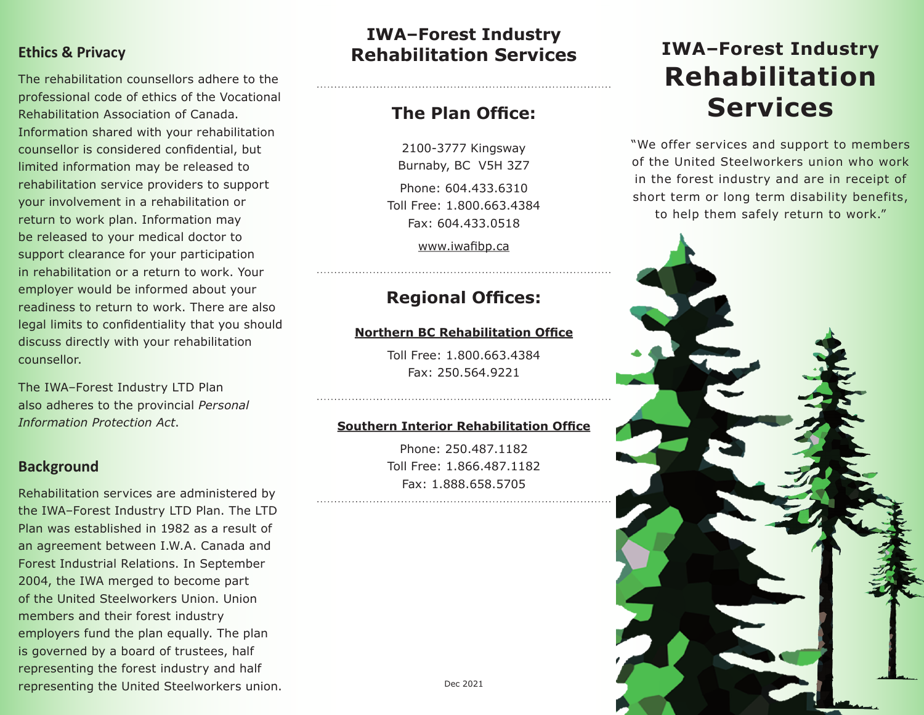### **Ethics & Privacy**

The rehabilitation counsellors adhere to the professional code of ethics of the Vocational Rehabilitation Association of Canada. Information shared with your rehabilitation counsellor is considered confidential, but limited information may be released to rehabilitation service providers to support your involvement in a rehabilitation or return to work plan. Information may be released to your medical doctor to support clearance for your participation in rehabilitation or a return to work. Your employer would be informed about your readiness to return to work. There are also legal limits to confidentiality that you should discuss directly with your rehabilitation counsellor.

The IWA–Forest Industry LTD Plan also adheres to the provincial *Personal Information Protection Act* .

### **Background**

Rehabilitation services are administered by the IWA–Forest Industry LTD Plan. The LTD Plan was established in 1982 as a result of an agreement between I.W.A. Canada and Forest Industrial Relations. In September 2004, the IWA merged to become part of the United Steelworkers Union. Union members and their forest industry employers fund the plan equally. The plan is governed by a board of trustees, half representing the forest industry and half representing the United Steelworkers union.

# **IWA–Forest Industry Rehabilitation Services**

## **The Plan Office:**

2100-3777 Kingsway Burnaby, BC V5H 3Z7 Phone: 604.433.6310 Toll Free: 1.800.663.4384 Fax: 604.433.0518

www.iwafibp.ca

## **Regional Offices:**

### **Northern BC Rehabilitation Office**

Toll Free: 1.800.663.4384 Fax: 250.564.9221

#### **Southern Interior Rehabilitation Office**

Phone: 250.487.1182 Toll Free: 1.866.487.1182 Fax: 1.888.658.5705

# **IWA –Forest Industry Rehabilitation Services**

"We offer services and support to members of the United Steelworkers union who work in the forest industry and are in receipt of short term or long term disability benefits, to help them safely return to work."